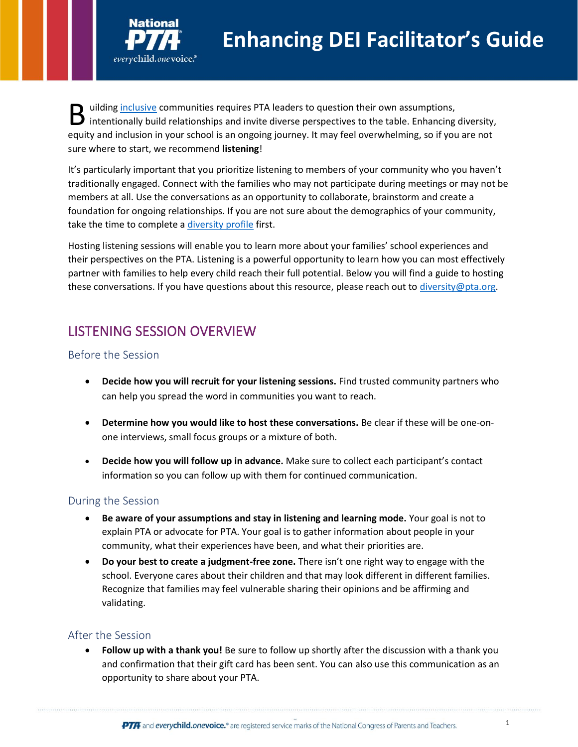

ilding [inclusive](https://www.pta.org/center-for-family-engagement/four-parts-of-family-engagement) communities requires PTA leaders to question their own assumptions, B uilding *inclusive* communities requires PTA leaders to question their own assumptions,<br>intentionally build relationships and invite diverse perspectives to the table. Enhancing diversity, equity and inclusion in your school is an ongoing journey. It may feel overwhelming, so if you are not sure where to start, we recommend **listening**!

It's particularly important that you prioritize listening to members of your community who you haven't traditionally engaged. Connect with the families who may not participate during meetings or may not be members at all. Use the conversations as an opportunity to collaborate, brainstorm and create a foundation for ongoing relationships. If you are not sure about the demographics of your community, take the time to complete [a diversity profile](https://www.pta.org/docs/default-source/default-document-library/dei-community-profile-template-final.pdf) first.

Hosting listening sessions will enable you to learn more about your families' school experiences and their perspectives on the PTA. Listening is a powerful opportunity to learn how you can most effectively partner with families to help every child reach their full potential. Below you will find a guide to hosting these conversations. If you have questions about this resource, please reach out t[o diversity@pta.org.](mailto:diversity@pta.org)

# LISTENING SESSION OVERVIEW

#### Before the Session

- **Decide how you will recruit for your listening sessions.** Find trusted community partners who can help you spread the word in communities you want to reach.
- **Determine how you would like to host these conversations.** Be clear if these will be one-onone interviews, small focus groups or a mixture of both.
- **Decide how you will follow up in advance.** Make sure to collect each participant's contact information so you can follow up with them for continued communication.

## During the Session

- **Be aware of your assumptions and stay in listening and learning mode.** Your goal is not to explain PTA or advocate for PTA. Your goal is to gather information about people in your community, what their experiences have been, and what their priorities are.
- **Do your best to create a judgment-free zone.** There isn't one right way to engage with the school. Everyone cares about their children and that may look different in different families. Recognize that families may feel vulnerable sharing their opinions and be affirming and validating.

## After the Session

• **Follow up with a thank you!** Be sure to follow up shortly after the discussion with a thank you and confirmation that their gift card has been sent. You can also use this communication as an opportunity to share about your PTA.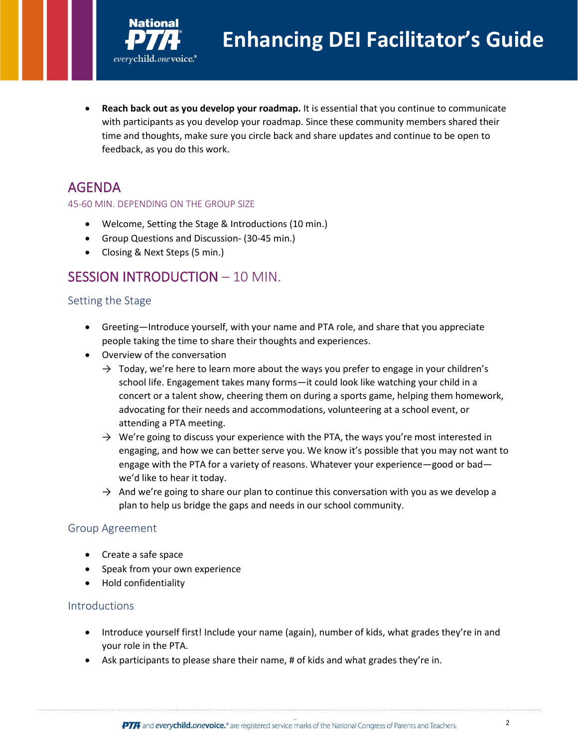

• **Reach back out as you develop your roadmap.** It is essential that you continue to communicate with participants as you develop your roadmap. Since these community members shared their time and thoughts, make sure you circle back and share updates and continue to be open to feedback, as you do this work.

## AGENDA

#### 45-60 MIN. DEPENDING ON THE GROUP SIZE

- Welcome, Setting the Stage & Introductions (10 min.)
- Group Questions and Discussion- (30-45 min.)
- Closing & Next Steps (5 min.)

## SESSION INTRODUCTION – 10 MIN.

#### Setting the Stage

- Greeting—Introduce yourself, with your name and PTA role, and share that you appreciate people taking the time to share their thoughts and experiences.
- Overview of the conversation
	- $\rightarrow$  Today, we're here to learn more about the ways you prefer to engage in your children's school life. Engagement takes many forms—it could look like watching your child in a concert or a talent show, cheering them on during a sports game, helping them homework, advocating for their needs and accommodations, volunteering at a school event, or attending a PTA meeting.
	- $\rightarrow$  We're going to discuss your experience with the PTA, the ways you're most interested in engaging, and how we can better serve you. We know it's possible that you may not want to engage with the PTA for a variety of reasons. Whatever your experience—good or bad we'd like to hear it today.
	- $\rightarrow$  And we're going to share our plan to continue this conversation with you as we develop a plan to help us bridge the gaps and needs in our school community.

#### Group Agreement

- Create a safe space
- Speak from your own experience
- Hold confidentiality

#### **Introductions**

- Introduce yourself first! Include your name (again), number of kids, what grades they're in and your role in the PTA.
- Ask participants to please share their name, # of kids and what grades they're in.